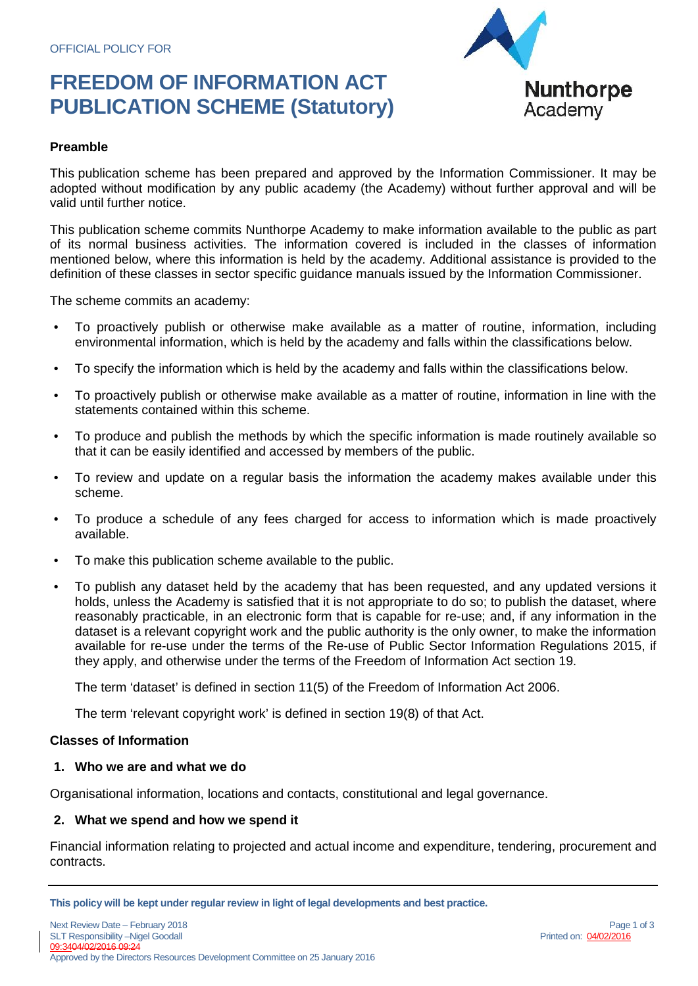## **FREEDOM OF INFORMATION ACT PUBLICATION SCHEME (Statutory)**



#### **Preamble**

This publication scheme has been prepared and approved by the Information Commissioner. It may be adopted without modification by any public academy (the Academy) without further approval and will be valid until further notice.

This publication scheme commits Nunthorpe Academy to make information available to the public as part of its normal business activities. The information covered is included in the classes of information mentioned below, where this information is held by the academy. Additional assistance is provided to the definition of these classes in sector specific guidance manuals issued by the Information Commissioner.

The scheme commits an academy:

- To proactively publish or otherwise make available as a matter of routine, information, including environmental information, which is held by the academy and falls within the classifications below.
- To specify the information which is held by the academy and falls within the classifications below.
- To proactively publish or otherwise make available as a matter of routine, information in line with the statements contained within this scheme.
- To produce and publish the methods by which the specific information is made routinely available so that it can be easily identified and accessed by members of the public.
- To review and update on a regular basis the information the academy makes available under this scheme.
- To produce a schedule of any fees charged for access to information which is made proactively available.
- To make this publication scheme available to the public.
- To publish any dataset held by the academy that has been requested, and any updated versions it holds, unless the Academy is satisfied that it is not appropriate to do so; to publish the dataset, where reasonably practicable, in an electronic form that is capable for re-use; and, if any information in the dataset is a relevant copyright work and the public authority is the only owner, to make the information available for re-use under the terms of the Re-use of Public Sector Information Regulations 2015, if they apply, and otherwise under the terms of the Freedom of Information Act section 19.

The term 'dataset' is defined in section 11(5) of the Freedom of Information Act 2006.

The term 'relevant copyright work' is defined in section 19(8) of that Act.

#### **Classes of Information**

#### **1. Who we are and what we do**

Organisational information, locations and contacts, constitutional and legal governance.

## **2. What we spend and how we spend it**

Financial information relating to projected and actual income and expenditure, tendering, procurement and contracts.



**This policy will be kept under regular review in light of legal developments and best practice.**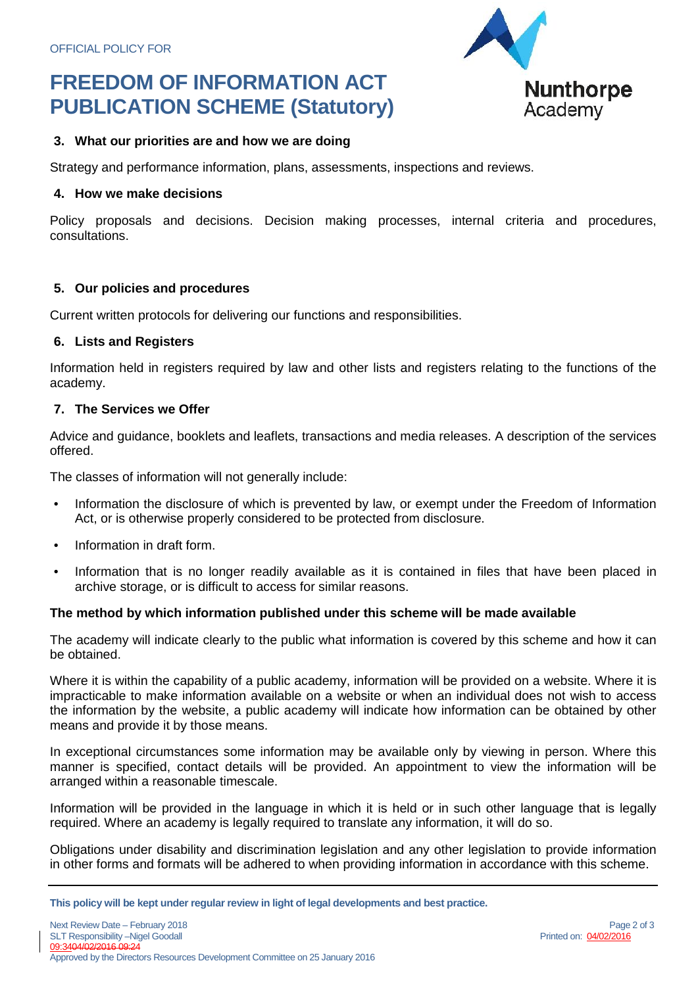# **FREEDOM OF INFORMATION ACT PUBLICATION SCHEME (Statutory)**



#### **3. What our priorities are and how we are doing**

Strategy and performance information, plans, assessments, inspections and reviews.

#### **4. How we make decisions**

Policy proposals and decisions. Decision making processes, internal criteria and procedures, consultations.

#### **5. Our policies and procedures**

Current written protocols for delivering our functions and responsibilities.

#### **6. Lists and Registers**

Information held in registers required by law and other lists and registers relating to the functions of the academy.

#### **7. The Services we Offer**

Advice and guidance, booklets and leaflets, transactions and media releases. A description of the services offered.

The classes of information will not generally include:

- Information the disclosure of which is prevented by law, or exempt under the Freedom of Information Act, or is otherwise properly considered to be protected from disclosure.
- Information in draft form.
- Information that is no longer readily available as it is contained in files that have been placed in archive storage, or is difficult to access for similar reasons.

## **The method by which information published under this scheme will be made available**

The academy will indicate clearly to the public what information is covered by this scheme and how it can be obtained.

Where it is within the capability of a public academy, information will be provided on a website. Where it is impracticable to make information available on a website or when an individual does not wish to access the information by the website, a public academy will indicate how information can be obtained by other means and provide it by those means.

In exceptional circumstances some information may be available only by viewing in person. Where this manner is specified, contact details will be provided. An appointment to view the information will be arranged within a reasonable timescale.

Information will be provided in the language in which it is held or in such other language that is legally required. Where an academy is legally required to translate any information, it will do so.

Obligations under disability and discrimination legislation and any other legislation to provide information in other forms and formats will be adhered to when providing information in accordance with this scheme.

**This policy will be kept under regular review in light of legal developments and best practice.**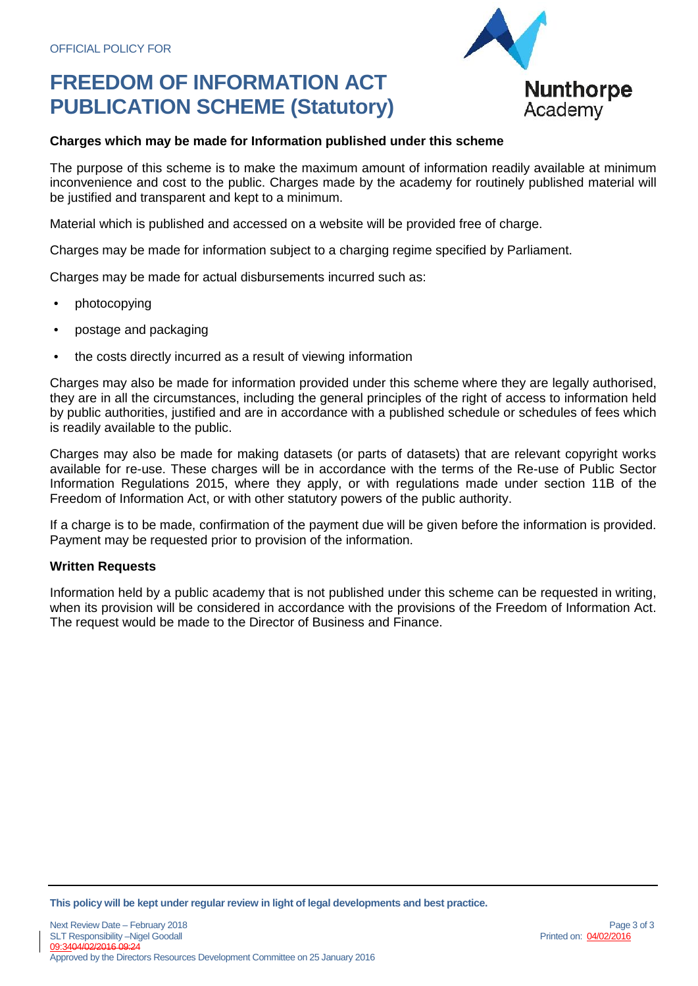# **FREEDOM OF INFORMATION ACT PUBLICATION SCHEME (Statutory)**



## **Charges which may be made for Information published under this scheme**

The purpose of this scheme is to make the maximum amount of information readily available at minimum inconvenience and cost to the public. Charges made by the academy for routinely published material will be justified and transparent and kept to a minimum.

Material which is published and accessed on a website will be provided free of charge.

Charges may be made for information subject to a charging regime specified by Parliament.

Charges may be made for actual disbursements incurred such as:

- photocopying
- postage and packaging
- the costs directly incurred as a result of viewing information

Charges may also be made for information provided under this scheme where they are legally authorised, they are in all the circumstances, including the general principles of the right of access to information held by public authorities, justified and are in accordance with a published schedule or schedules of fees which is readily available to the public.

Charges may also be made for making datasets (or parts of datasets) that are relevant copyright works available for re-use. These charges will be in accordance with the terms of the Re-use of Public Sector Information Regulations 2015, where they apply, or with regulations made under section 11B of the Freedom of Information Act, or with other statutory powers of the public authority.

If a charge is to be made, confirmation of the payment due will be given before the information is provided. Payment may be requested prior to provision of the information.

## **Written Requests**

Information held by a public academy that is not published under this scheme can be requested in writing, when its provision will be considered in accordance with the provisions of the Freedom of Information Act. The request would be made to the Director of Business and Finance.

**This policy will be kept under regular review in light of legal developments and best practice.**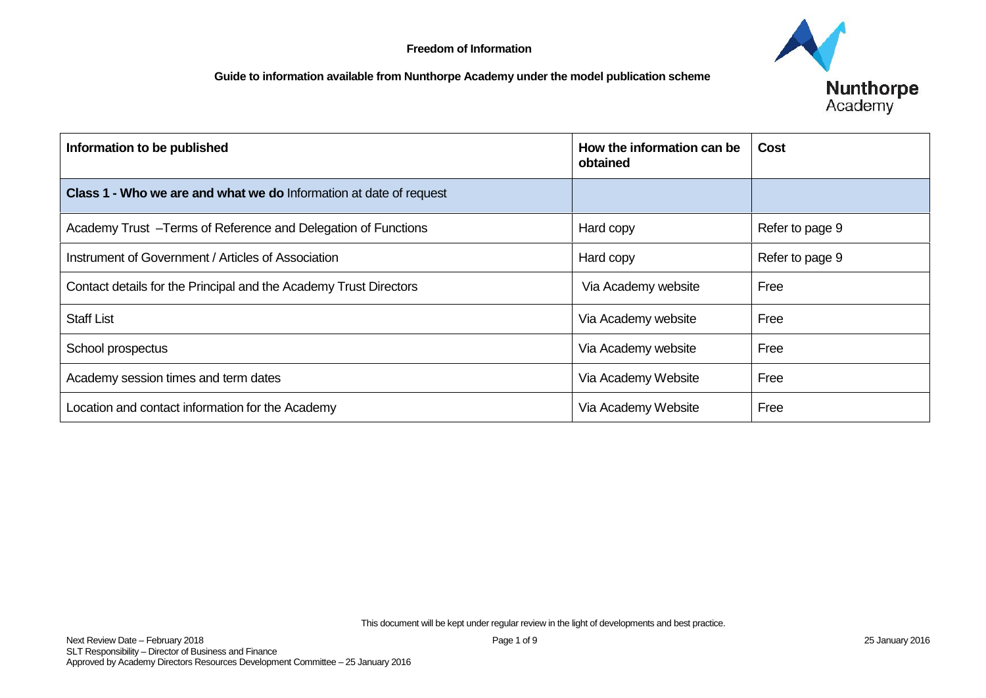

| Information to be published                                        | How the information can be<br>obtained | <b>Cost</b>     |
|--------------------------------------------------------------------|----------------------------------------|-----------------|
| Class 1 - Who we are and what we do Information at date of request |                                        |                 |
| Academy Trust - Terms of Reference and Delegation of Functions     | Hard copy                              | Refer to page 9 |
| Instrument of Government / Articles of Association                 | Hard copy                              | Refer to page 9 |
| Contact details for the Principal and the Academy Trust Directors  | Via Academy website                    | Free            |
| <b>Staff List</b>                                                  | Via Academy website                    | Free            |
| School prospectus                                                  | Via Academy website                    | Free            |
| Academy session times and term dates                               | Via Academy Website                    | Free            |
| Location and contact information for the Academy                   | Via Academy Website                    | Free            |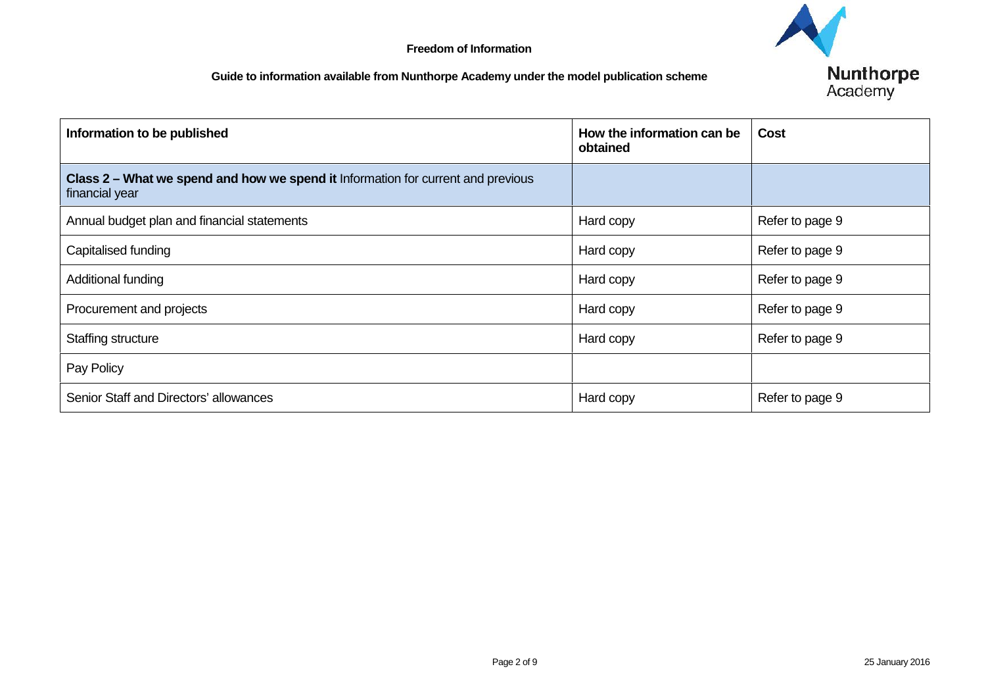| Information to be published                                                                        | How the information can be<br>obtained | <b>Cost</b>     |
|----------------------------------------------------------------------------------------------------|----------------------------------------|-----------------|
| Class 2 – What we spend and how we spend it Information for current and previous<br>financial year |                                        |                 |
| Annual budget plan and financial statements                                                        | Hard copy                              | Refer to page 9 |
| Capitalised funding                                                                                | Hard copy                              | Refer to page 9 |
| Additional funding                                                                                 | Hard copy                              | Refer to page 9 |
| Procurement and projects                                                                           | Hard copy                              | Refer to page 9 |
| Staffing structure                                                                                 | Hard copy                              | Refer to page 9 |
| Pay Policy                                                                                         |                                        |                 |
| Senior Staff and Directors' allowances                                                             | Hard copy                              | Refer to page 9 |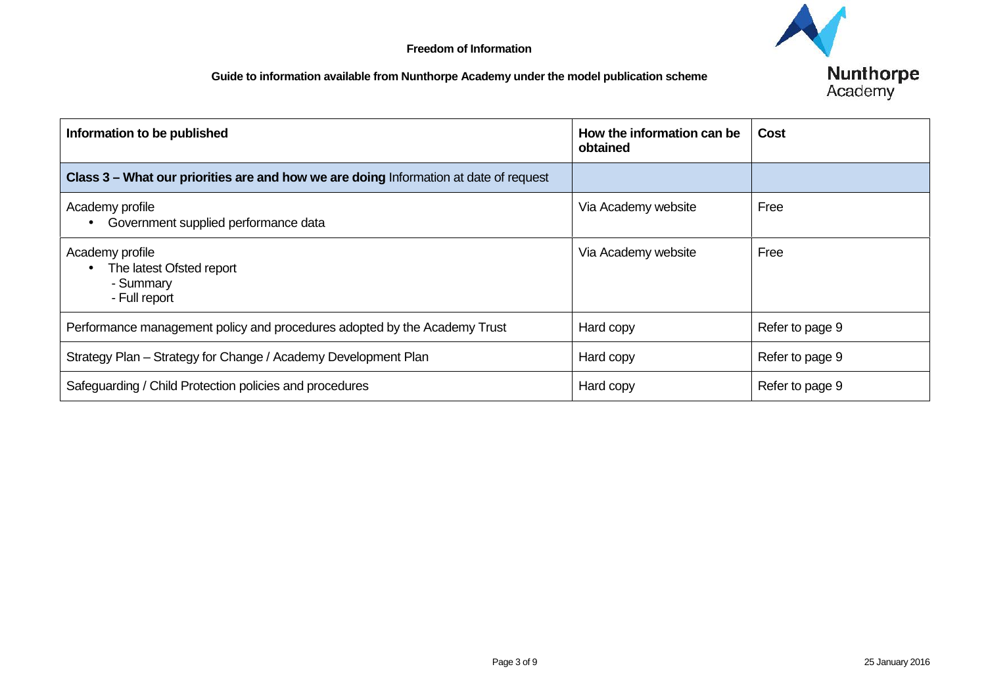| Information to be published                                                           | How the information can be<br>obtained | <b>Cost</b>     |
|---------------------------------------------------------------------------------------|----------------------------------------|-----------------|
| Class 3 - What our priorities are and how we are doing Information at date of request |                                        |                 |
| Academy profile<br>• Government supplied performance data                             | Via Academy website                    | Free            |
| Academy profile<br>The latest Ofsted report<br>- Summary<br>- Full report             | Via Academy website                    | Free            |
| Performance management policy and procedures adopted by the Academy Trust             | Hard copy                              | Refer to page 9 |
| Strategy Plan - Strategy for Change / Academy Development Plan                        | Hard copy                              | Refer to page 9 |
| Safeguarding / Child Protection policies and procedures                               | Hard copy                              | Refer to page 9 |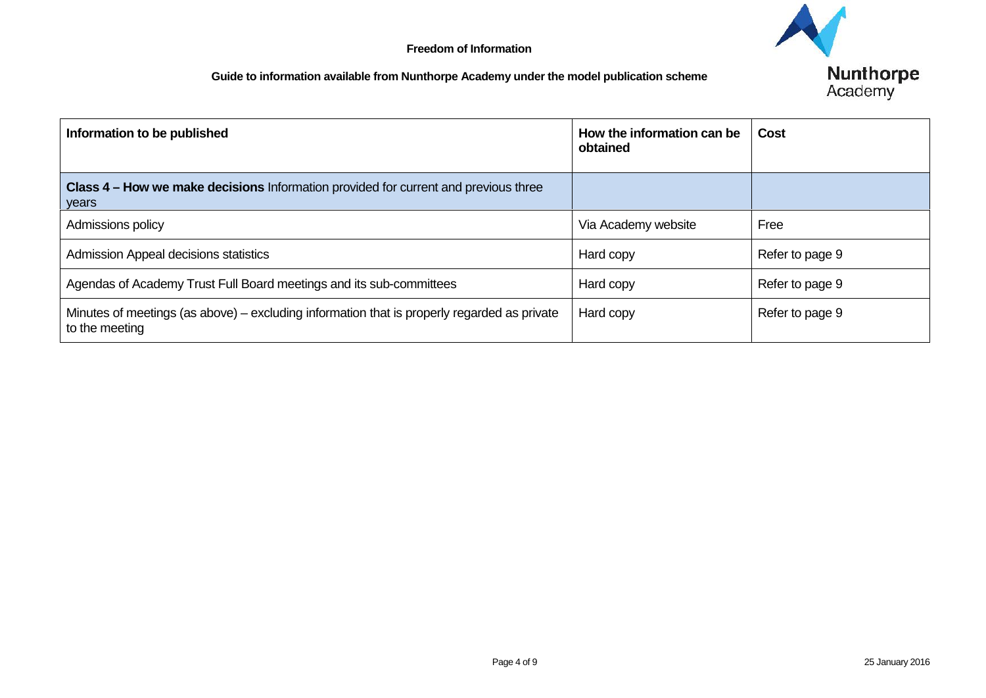| Information to be published                                                                                   | How the information can be<br>obtained | <b>Cost</b>     |
|---------------------------------------------------------------------------------------------------------------|----------------------------------------|-----------------|
| <b>Class 4 – How we make decisions</b> Information provided for current and previous three<br>years           |                                        |                 |
| Admissions policy                                                                                             | Via Academy website                    | Free            |
| Admission Appeal decisions statistics                                                                         | Hard copy                              | Refer to page 9 |
| Agendas of Academy Trust Full Board meetings and its sub-committees                                           | Hard copy                              | Refer to page 9 |
| Minutes of meetings (as above) – excluding information that is properly regarded as private<br>to the meeting | Hard copy                              | Refer to page 9 |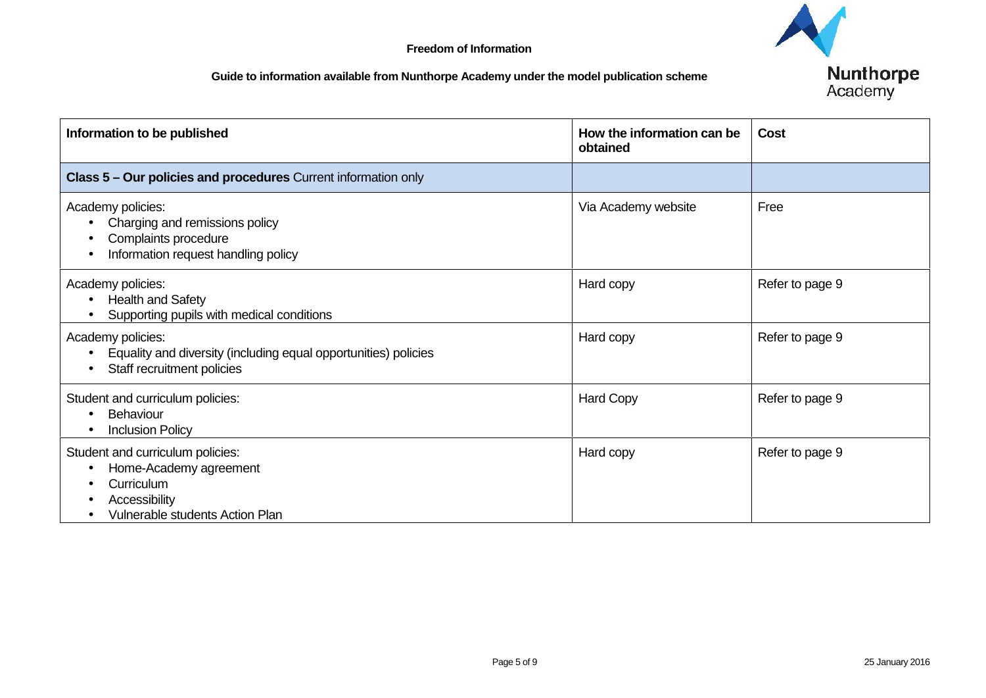| Information to be published                                                                                                  | How the information can be<br>obtained | <b>Cost</b>     |
|------------------------------------------------------------------------------------------------------------------------------|----------------------------------------|-----------------|
| Class 5 - Our policies and procedures Current information only                                                               |                                        |                 |
| Academy policies:<br>Charging and remissions policy<br>Complaints procedure<br>Information request handling policy           | Via Academy website                    | Free            |
| Academy policies:<br><b>Health and Safety</b><br>Supporting pupils with medical conditions                                   | Hard copy                              | Refer to page 9 |
| Academy policies:<br>Equality and diversity (including equal opportunities) policies<br>Staff recruitment policies           | Hard copy                              | Refer to page 9 |
| Student and curriculum policies:<br>Behaviour<br><b>Inclusion Policy</b>                                                     | <b>Hard Copy</b>                       | Refer to page 9 |
| Student and curriculum policies:<br>Home-Academy agreement<br>Curriculum<br>Accessibility<br>Vulnerable students Action Plan | Hard copy                              | Refer to page 9 |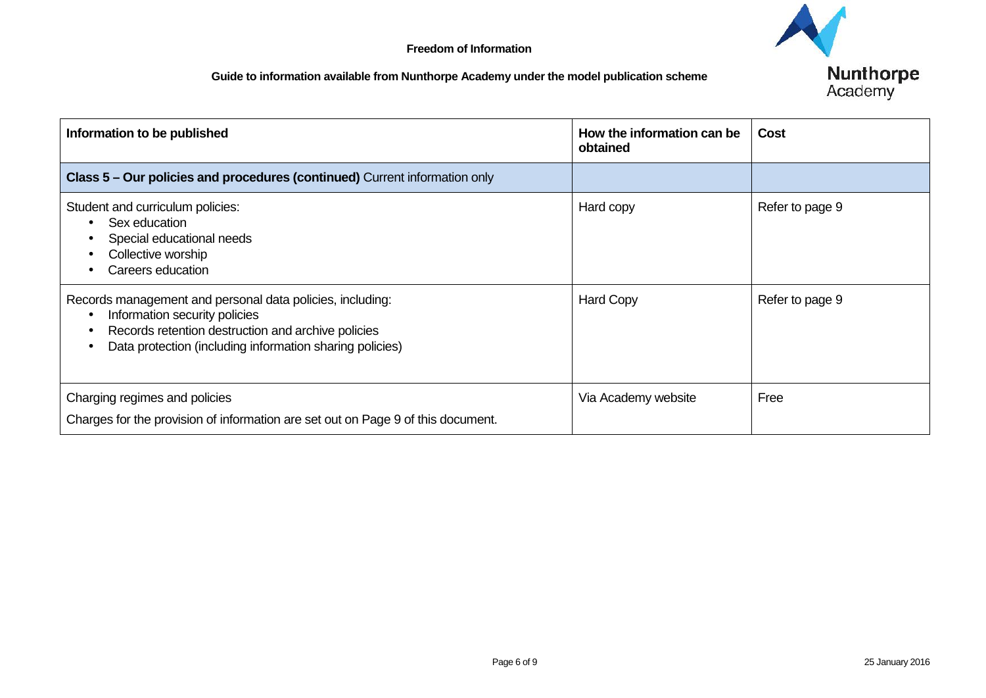| Information to be published                                                                                                                                                                                  | How the information can be<br>obtained | <b>Cost</b>     |
|--------------------------------------------------------------------------------------------------------------------------------------------------------------------------------------------------------------|----------------------------------------|-----------------|
| Class 5 - Our policies and procedures (continued) Current information only                                                                                                                                   |                                        |                 |
| Student and curriculum policies:<br>Sex education<br>Special educational needs<br>Collective worship<br>Careers education                                                                                    | Hard copy                              | Refer to page 9 |
| Records management and personal data policies, including:<br>Information security policies<br>Records retention destruction and archive policies<br>Data protection (including information sharing policies) | <b>Hard Copy</b>                       | Refer to page 9 |
| Charging regimes and policies<br>Charges for the provision of information are set out on Page 9 of this document.                                                                                            | Via Academy website                    | Free            |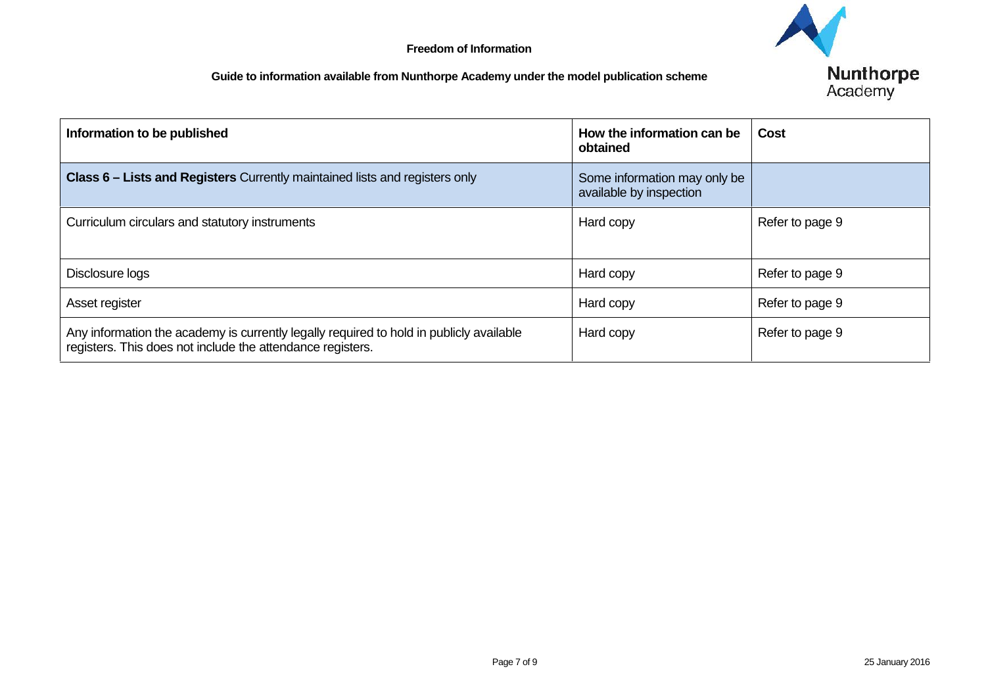| Information to be published                                                                                                                           | How the information can be<br>obtained                  | <b>Cost</b>     |
|-------------------------------------------------------------------------------------------------------------------------------------------------------|---------------------------------------------------------|-----------------|
| <b>Class 6 – Lists and Registers</b> Currently maintained lists and registers only                                                                    | Some information may only be<br>available by inspection |                 |
| Curriculum circulars and statutory instruments                                                                                                        | Hard copy                                               | Refer to page 9 |
| Disclosure logs                                                                                                                                       | Hard copy                                               | Refer to page 9 |
| Asset register                                                                                                                                        | Hard copy                                               | Refer to page 9 |
| Any information the academy is currently legally required to hold in publicly available<br>registers. This does not include the attendance registers. | Hard copy                                               | Refer to page 9 |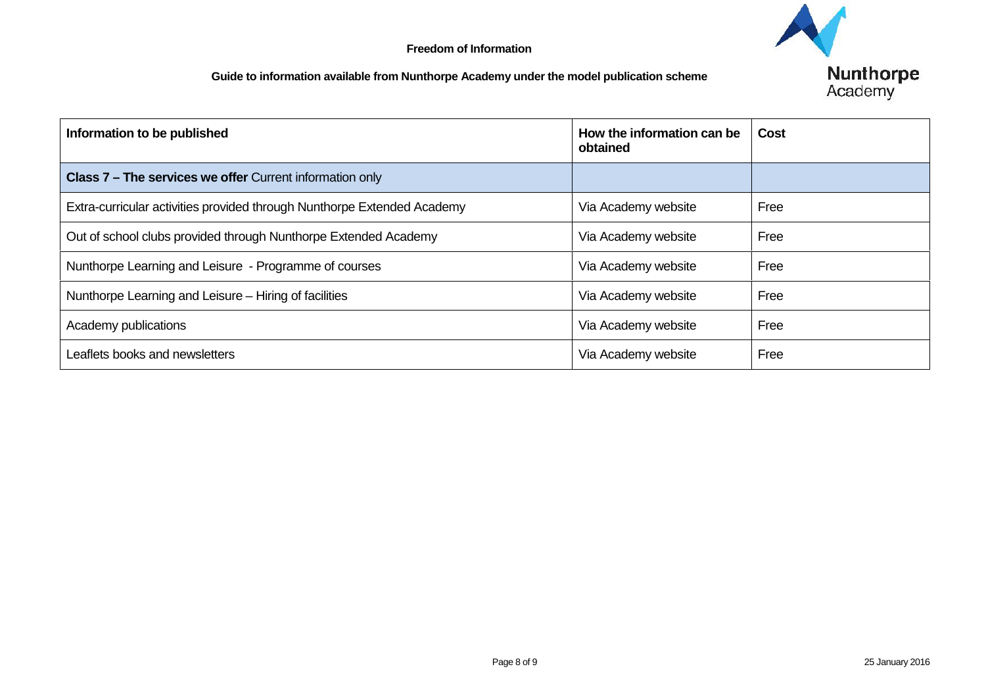| Information to be published                                             | How the information can be<br>obtained | <b>Cost</b> |
|-------------------------------------------------------------------------|----------------------------------------|-------------|
| <b>Class 7 – The services we offer Current information only</b>         |                                        |             |
| Extra-curricular activities provided through Nunthorpe Extended Academy | Via Academy website                    | Free        |
| Out of school clubs provided through Nunthorpe Extended Academy         | Via Academy website                    | Free        |
| Nunthorpe Learning and Leisure - Programme of courses                   | Via Academy website                    | Free        |
| Nunthorpe Learning and Leisure – Hiring of facilities                   | Via Academy website                    | Free        |
| Academy publications                                                    | Via Academy website                    | Free        |
| Leaflets books and newsletters                                          | Via Academy website                    | Free        |